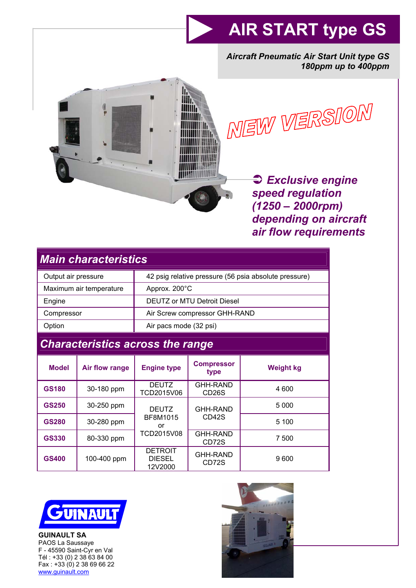# **AIR START type GS**

*Aircraft Pneumatic Air Start Unit type GS 180ppm up to 400ppm* 





Â *Exclusive engine speed regulation (1250 – 2000rpm) depending on aircraft air flow requirements*

| <b>Main characteristics</b>             |                |                                                       |                                       |                  |
|-----------------------------------------|----------------|-------------------------------------------------------|---------------------------------------|------------------|
| Output air pressure                     |                | 42 psig relative pressure (56 psia absolute pressure) |                                       |                  |
| Maximum air temperature                 |                | Approx. 200°C                                         |                                       |                  |
| Engine                                  |                | <b>DEUTZ or MTU Detroit Diesel</b>                    |                                       |                  |
| Compressor                              |                | Air Screw compressor GHH-RAND                         |                                       |                  |
| Option                                  |                | Air pacs mode (32 psi)                                |                                       |                  |
| <b>Characteristics across the range</b> |                |                                                       |                                       |                  |
| <b>Model</b>                            | Air flow range | <b>Engine type</b>                                    | <b>Compressor</b><br>type             | <b>Weight kg</b> |
| <b>GS180</b>                            |                |                                                       |                                       |                  |
|                                         | 30-180 ppm     | <b>DEUTZ</b><br>TCD2015V06                            | <b>GHH-RAND</b><br>CD <sub>26</sub> S | 4 600            |
| <b>GS250</b>                            | 30-250 ppm     | DEUTZ.                                                | <b>GHH-RAND</b>                       | 5 0 0 0          |
| <b>GS280</b>                            | 30-280 ppm     | BF8M1015<br>or                                        | CD <sub>42</sub> S                    | 5 100            |
| GS330                                   | 80-330 ppm     | TCD2015V08                                            | <b>GHH-RAND</b><br>CD72S              | 7 500            |



**GUINAULT SA**  PAOS La Saussaye F - 45590 Saint-Cyr en Val Tél : +33 (0) 2 38 63 84 00 Fax : +33 (0) 2 38 69 66 22 www.guinault.com